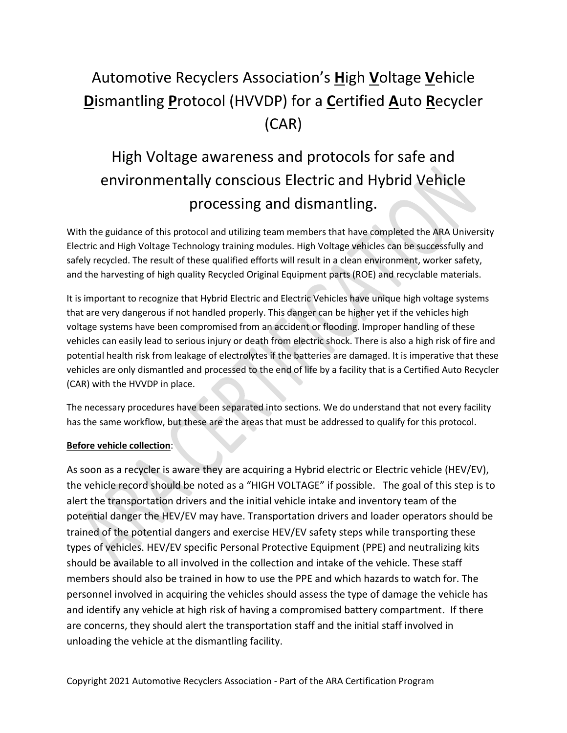## Automotive Recyclers Association's **H**igh **V**oltage **V**ehicle **D**ismantling **P**rotocol (HVVDP) for a **C**ertified **A**uto **R**ecycler (CAR)

# High Voltage awareness and protocols for safe and environmentally conscious Electric and Hybrid Vehicle processing and dismantling.

With the guidance of this protocol and utilizing team members that have completed the ARA University Electric and High Voltage Technology training modules. High Voltage vehicles can be successfully and safely recycled. The result of these qualified efforts will result in a clean environment, worker safety, and the harvesting of high quality Recycled Original Equipment parts (ROE) and recyclable materials.

It is important to recognize that Hybrid Electric and Electric Vehicles have unique high voltage systems that are very dangerous if not handled properly. This danger can be higher yet if the vehicles high voltage systems have been compromised from an accident or flooding. Improper handling of these vehicles can easily lead to serious injury or death from electric shock. There is also a high risk of fire and potential health risk from leakage of electrolytes if the batteries are damaged. It is imperative that these vehicles are only dismantled and processed to the end of life by a facility that is a Certified Auto Recycler (CAR) with the HVVDP in place.

The necessary procedures have been separated into sections. We do understand that not every facility has the same workflow, but these are the areas that must be addressed to qualify for this protocol.

#### **Before vehicle collection**:

As soon as a recycler is aware they are acquiring a Hybrid electric or Electric vehicle (HEV/EV), the vehicle record should be noted as a "HIGH VOLTAGE" if possible. The goal of this step is to alert the transportation drivers and the initial vehicle intake and inventory team of the potential danger the HEV/EV may have. Transportation drivers and loader operators should be trained of the potential dangers and exercise HEV/EV safety steps while transporting these types of vehicles. HEV/EV specific Personal Protective Equipment (PPE) and neutralizing kits should be available to all involved in the collection and intake of the vehicle. These staff members should also be trained in how to use the PPE and which hazards to watch for. The personnel involved in acquiring the vehicles should assess the type of damage the vehicle has and identify any vehicle at high risk of having a compromised battery compartment. If there are concerns, they should alert the transportation staff and the initial staff involved in unloading the vehicle at the dismantling facility.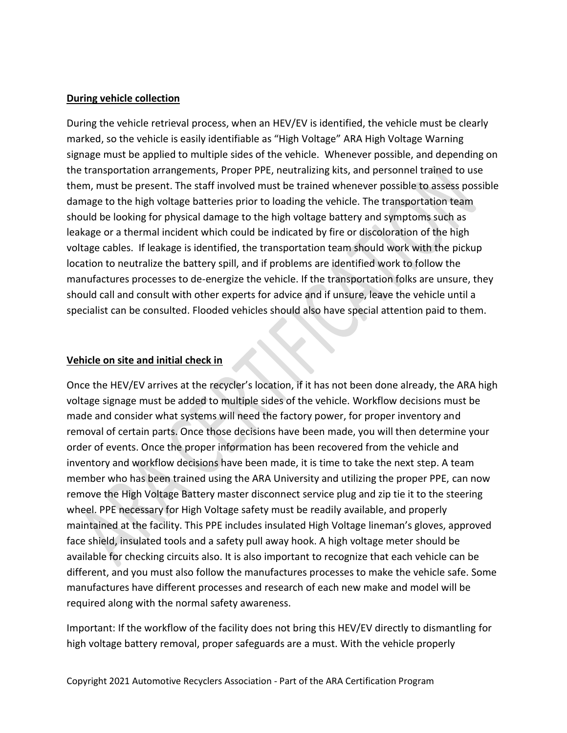#### **During vehicle collection**

During the vehicle retrieval process, when an HEV/EV is identified, the vehicle must be clearly marked, so the vehicle is easily identifiable as "High Voltage" ARA High Voltage Warning signage must be applied to multiple sides of the vehicle. Whenever possible, and depending on the transportation arrangements, Proper PPE, neutralizing kits, and personnel trained to use them, must be present. The staff involved must be trained whenever possible to assess possible damage to the high voltage batteries prior to loading the vehicle. The transportation team should be looking for physical damage to the high voltage battery and symptoms such as leakage or a thermal incident which could be indicated by fire or discoloration of the high voltage cables. If leakage is identified, the transportation team should work with the pickup location to neutralize the battery spill, and if problems are identified work to follow the manufactures processes to de-energize the vehicle. If the transportation folks are unsure, they should call and consult with other experts for advice and if unsure, leave the vehicle until a specialist can be consulted. Flooded vehicles should also have special attention paid to them.

#### **Vehicle on site and initial check in**

Once the HEV/EV arrives at the recycler's location, if it has not been done already, the ARA high voltage signage must be added to multiple sides of the vehicle. Workflow decisions must be made and consider what systems will need the factory power, for proper inventory and removal of certain parts. Once those decisions have been made, you will then determine your order of events. Once the proper information has been recovered from the vehicle and inventory and workflow decisions have been made, it is time to take the next step. A team member who has been trained using the ARA University and utilizing the proper PPE, can now remove the High Voltage Battery master disconnect service plug and zip tie it to the steering wheel. PPE necessary for High Voltage safety must be readily available, and properly maintained at the facility. This PPE includes insulated High Voltage lineman's gloves, approved face shield, insulated tools and a safety pull away hook. A high voltage meter should be available for checking circuits also. It is also important to recognize that each vehicle can be different, and you must also follow the manufactures processes to make the vehicle safe. Some manufactures have different processes and research of each new make and model will be required along with the normal safety awareness.

Important: If the workflow of the facility does not bring this HEV/EV directly to dismantling for high voltage battery removal, proper safeguards are a must. With the vehicle properly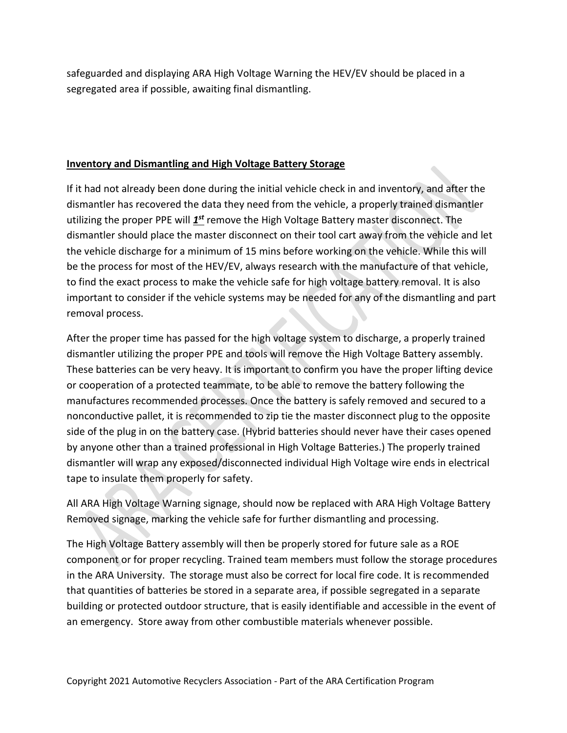safeguarded and displaying ARA High Voltage Warning the HEV/EV should be placed in a segregated area if possible, awaiting final dismantling.

#### **Inventory and Dismantling and High Voltage Battery Storage**

If it had not already been done during the initial vehicle check in and inventory, and after the dismantler has recovered the data they need from the vehicle, a properly trained dismantler utilizing the proper PPE will *1<sup>st</sup>* remove the High Voltage Battery master disconnect. The dismantler should place the master disconnect on their tool cart away from the vehicle and let the vehicle discharge for a minimum of 15 mins before working on the vehicle. While this will be the process for most of the HEV/EV, always research with the manufacture of that vehicle, to find the exact process to make the vehicle safe for high voltage battery removal. It is also important to consider if the vehicle systems may be needed for any of the dismantling and part removal process.

After the proper time has passed for the high voltage system to discharge, a properly trained dismantler utilizing the proper PPE and tools will remove the High Voltage Battery assembly. These batteries can be very heavy. It is important to confirm you have the proper lifting device or cooperation of a protected teammate, to be able to remove the battery following the manufactures recommended processes. Once the battery is safely removed and secured to a nonconductive pallet, it is recommended to zip tie the master disconnect plug to the opposite side of the plug in on the battery case. (Hybrid batteries should never have their cases opened by anyone other than a trained professional in High Voltage Batteries.) The properly trained dismantler will wrap any exposed/disconnected individual High Voltage wire ends in electrical tape to insulate them properly for safety.

All ARA High Voltage Warning signage, should now be replaced with ARA High Voltage Battery Removed signage, marking the vehicle safe for further dismantling and processing.

The High Voltage Battery assembly will then be properly stored for future sale as a ROE component or for proper recycling. Trained team members must follow the storage procedures in the ARA University. The storage must also be correct for local fire code. It is recommended that quantities of batteries be stored in a separate area, if possible segregated in a separate building or protected outdoor structure, that is easily identifiable and accessible in the event of an emergency. Store away from other combustible materials whenever possible.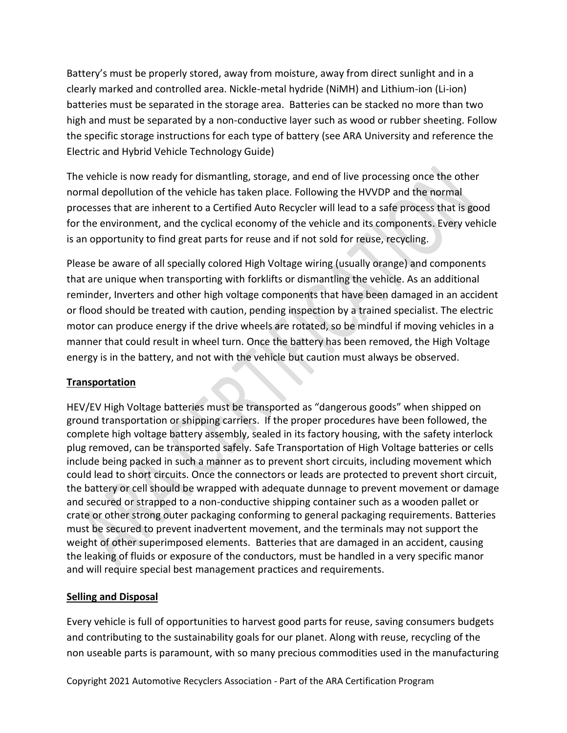Battery's must be properly stored, away from moisture, away from direct sunlight and in a clearly marked and controlled area. Nickle-metal hydride (NiMH) and Lithium-ion (Li-ion) batteries must be separated in the storage area. Batteries can be stacked no more than two high and must be separated by a non-conductive layer such as wood or rubber sheeting. Follow the specific storage instructions for each type of battery (see ARA University and reference the Electric and Hybrid Vehicle Technology Guide)

The vehicle is now ready for dismantling, storage, and end of live processing once the other normal depollution of the vehicle has taken place. Following the HVVDP and the normal processes that are inherent to a Certified Auto Recycler will lead to a safe process that is good for the environment, and the cyclical economy of the vehicle and its components. Every vehicle is an opportunity to find great parts for reuse and if not sold for reuse, recycling.

Please be aware of all specially colored High Voltage wiring (usually orange) and components that are unique when transporting with forklifts or dismantling the vehicle. As an additional reminder, Inverters and other high voltage components that have been damaged in an accident or flood should be treated with caution, pending inspection by a trained specialist. The electric motor can produce energy if the drive wheels are rotated, so be mindful if moving vehicles in a manner that could result in wheel turn. Once the battery has been removed, the High Voltage energy is in the battery, and not with the vehicle but caution must always be observed.

## **Transportation**

HEV/EV High Voltage batteries must be transported as "dangerous goods" when shipped on ground transportation or shipping carriers. If the proper procedures have been followed, the complete high voltage battery assembly, sealed in its factory housing, with the safety interlock plug removed, can be transported safely. Safe Transportation of High Voltage batteries or cells include being packed in such a manner as to prevent short circuits, including movement which could lead to short circuits. Once the connectors or leads are protected to prevent short circuit, the battery or cell should be wrapped with adequate dunnage to prevent movement or damage and secured or strapped to a non-conductive shipping container such as a wooden pallet or crate or other strong outer packaging conforming to general packaging requirements. Batteries must be secured to prevent inadvertent movement, and the terminals may not support the weight of other superimposed elements. Batteries that are damaged in an accident, causing the leaking of fluids or exposure of the conductors, must be handled in a very specific manor and will require special best management practices and requirements.

## **Selling and Disposal**

Every vehicle is full of opportunities to harvest good parts for reuse, saving consumers budgets and contributing to the sustainability goals for our planet. Along with reuse, recycling of the non useable parts is paramount, with so many precious commodities used in the manufacturing